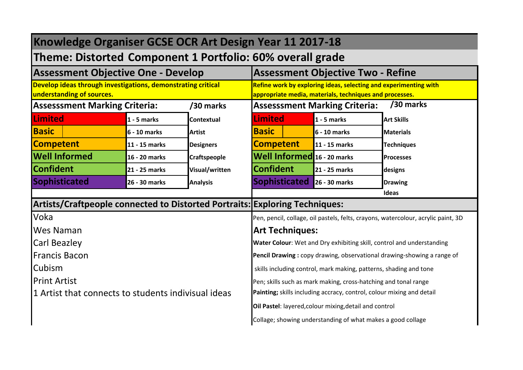| Knowledge Organiser GCSE OCR Art Design Year 11 2017-18                                   |               |                   |                        |                                                                                                                             |                                                                                   |
|-------------------------------------------------------------------------------------------|---------------|-------------------|------------------------|-----------------------------------------------------------------------------------------------------------------------------|-----------------------------------------------------------------------------------|
| Theme: Distorted Component 1 Portfolio: 60% overall grade                                 |               |                   |                        |                                                                                                                             |                                                                                   |
| <b>Assessment Objective One - Develop</b>                                                 |               |                   |                        | <b>Assessment Objective Two - Refine</b>                                                                                    |                                                                                   |
| Develop ideas through investigations, demonstrating critical<br>understanding of sources. |               |                   |                        | Refine work by exploring ideas, selecting and experimenting with<br>appropriate media, materials, techniques and processes. |                                                                                   |
| <b>Assesssment Marking Criteria:</b>                                                      |               | /30 marks         |                        | <b>Assesssment Marking Criteria:</b>                                                                                        | /30 marks                                                                         |
| <b>Limited</b>                                                                            | $1 - 5$ marks | <b>Contextual</b> | Limited                | $1 - 5$ marks                                                                                                               | <b>Art Skills</b>                                                                 |
| <b>Basic</b>                                                                              | 6 - 10 marks  | <b>Artist</b>     | <b>Basic</b>           | 6 - 10 marks                                                                                                                | <b>Materials</b>                                                                  |
| <b>Competent</b>                                                                          | 11 - 15 marks | <b>Designers</b>  | <b>Competent</b>       | 11 - 15 marks                                                                                                               | <b>Techniques</b>                                                                 |
| <b>Well Informed</b>                                                                      | 16 - 20 marks | Craftspeople      |                        | Well Informed 16 - 20 marks                                                                                                 | <b>Processes</b>                                                                  |
| <b>Confident</b>                                                                          | 21 - 25 marks | Visual/written    | <b>Confident</b>       | 21 - 25 marks                                                                                                               | designs                                                                           |
| Sophisticated                                                                             | 26 - 30 marks | <b>Analysis</b>   | <b>Sophisticated</b>   | 26 - 30 marks                                                                                                               | <b>Drawing</b>                                                                    |
|                                                                                           |               |                   |                        |                                                                                                                             | Ideas                                                                             |
| Artists/Craftpeople connected to Distorted Portraits: Exploring Techniques:               |               |                   |                        |                                                                                                                             |                                                                                   |
| Voka                                                                                      |               |                   |                        |                                                                                                                             | Pen, pencil, collage, oil pastels, felts, crayons, watercolour, acrylic paint, 3D |
| <b>Wes Naman</b>                                                                          |               |                   | <b>Art Techniques:</b> |                                                                                                                             |                                                                                   |
| <b>Carl Beazley</b>                                                                       |               |                   |                        | Water Colour: Wet and Dry exhibiting skill, control and understanding                                                       |                                                                                   |
| <b>Francis Bacon</b>                                                                      |               |                   |                        |                                                                                                                             | Pencil Drawing: copy drawing, observational drawing-showing a range of            |
| <b>Cubism</b>                                                                             |               |                   |                        | skills including control, mark making, patterns, shading and tone                                                           |                                                                                   |
| <b>Print Artist</b>                                                                       |               |                   |                        | Pen; skills such as mark making, cross-hatching and tonal range                                                             |                                                                                   |
| 1 Artist that connects to students indivisual ideas                                       |               |                   |                        | Painting; skills including accracy, control, colour mixing and detail                                                       |                                                                                   |
|                                                                                           |               |                   |                        | Oil Pastel: layered, colour mixing, detail and control                                                                      |                                                                                   |
|                                                                                           |               |                   |                        | Collage; showing understanding of what makes a good collage                                                                 |                                                                                   |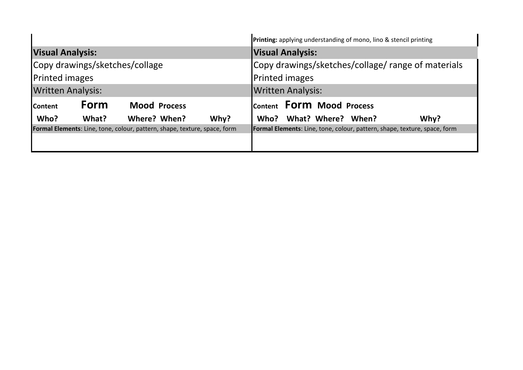|                          |       |                                                                                  |      |                          |                                  | Printing: applying understanding of mono, lino & stencil printing                |
|--------------------------|-------|----------------------------------------------------------------------------------|------|--------------------------|----------------------------------|----------------------------------------------------------------------------------|
| <b>Visual Analysis:</b>  |       |                                                                                  |      | <b>Visual Analysis:</b>  |                                  |                                                                                  |
|                          |       | Copy drawings/sketches/collage                                                   |      |                          |                                  | Copy drawings/sketches/collage/ range of materials                               |
| <b>Printed images</b>    |       |                                                                                  |      | <b>Printed images</b>    |                                  |                                                                                  |
| <b>Written Analysis:</b> |       |                                                                                  |      | <b>Written Analysis:</b> |                                  |                                                                                  |
| <b>Content</b>           | Form  | <b>Mood Process</b>                                                              |      |                          | Content <b>FOrm</b> Mood Process |                                                                                  |
| Who?                     | What? | Where? When?                                                                     | Why? | Who?                     | What? Where? When?               | Why?                                                                             |
|                          |       | <b>Formal Elements:</b> Line, tone, colour, pattern, shape, texture, space, form |      |                          |                                  | <b>Formal Elements:</b> Line, tone, colour, pattern, shape, texture, space, form |
|                          |       |                                                                                  |      |                          |                                  |                                                                                  |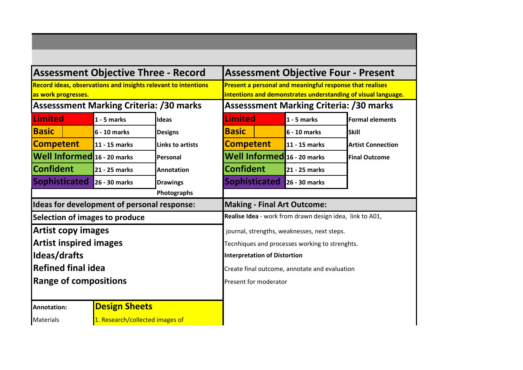|                                                |                                 | <b>Assessment Objective Three - Record</b>                            | <b>Assessment Objective Four - Present</b>               |               |                                                               |
|------------------------------------------------|---------------------------------|-----------------------------------------------------------------------|----------------------------------------------------------|---------------|---------------------------------------------------------------|
| as work progresses.                            |                                 | <b>Record ideas, observations and insights relevant to intentions</b> | Present a personal and meaningful response that realises |               | intentions and demonstrates understanding of visual language. |
| <b>Assesssment Marking Criteria: /30 marks</b> |                                 |                                                                       | <b>Assesssment Marking Criteria: /30 marks</b>           |               |                                                               |
| <b>Limited</b>                                 | $1 - 5$ marks                   | <b>Ideas</b>                                                          | <b>Limited</b>                                           | $1 - 5$ marks | <b>Formal elements</b>                                        |
| <b>Basic</b>                                   | 6 - 10 marks                    | <b>Designs</b>                                                        | <b>Basic</b>                                             | 6 - 10 marks  | <b>Skill</b>                                                  |
| <b>Competent</b>                               | 11 - 15 marks                   | <b>Links to artists</b>                                               | <b>Competent</b>                                         | 11 - 15 marks | <b>Artist Connection</b>                                      |
| Well Informed 16 - 20 marks                    |                                 | Personal                                                              | Well Informed 16 - 20 marks                              |               | <b>Final Outcome</b>                                          |
| <b>Confident</b>                               | 21 - 25 marks                   | <b>Annotation</b>                                                     | <b>Confident</b>                                         | 21 - 25 marks |                                                               |
| <b>Sophisticated</b>                           | 26 - 30 marks                   | <b>Drawings</b>                                                       | <b>Sophisticated</b>                                     | 26 - 30 marks |                                                               |
|                                                |                                 | Photographs                                                           |                                                          |               |                                                               |
| Ideas for development of personal response:    |                                 |                                                                       | <b>Making - Final Art Outcome:</b>                       |               |                                                               |
| Selection of images to produce                 |                                 |                                                                       | Realise Idea - work from drawn design idea, link to A01, |               |                                                               |
| <b>Artist copy images</b>                      |                                 |                                                                       | journal, strengths, weaknesses, next steps.              |               |                                                               |
| <b>Artist inspired images</b>                  |                                 |                                                                       | Tecnhiques and processes working to strenghts.           |               |                                                               |
| Ideas/drafts                                   |                                 |                                                                       | <b>Interpretation of Distortion</b>                      |               |                                                               |
| Refined final idea                             |                                 |                                                                       | Create final outcome, annotate and evaluation            |               |                                                               |
| <b>Range of compositions</b>                   |                                 |                                                                       | Present for moderator                                    |               |                                                               |
|                                                |                                 |                                                                       |                                                          |               |                                                               |
| Annotation:                                    | <b>Design Sheets</b>            |                                                                       |                                                          |               |                                                               |
| <b>Materials</b>                               | 1. Research/collected images of |                                                                       |                                                          |               |                                                               |